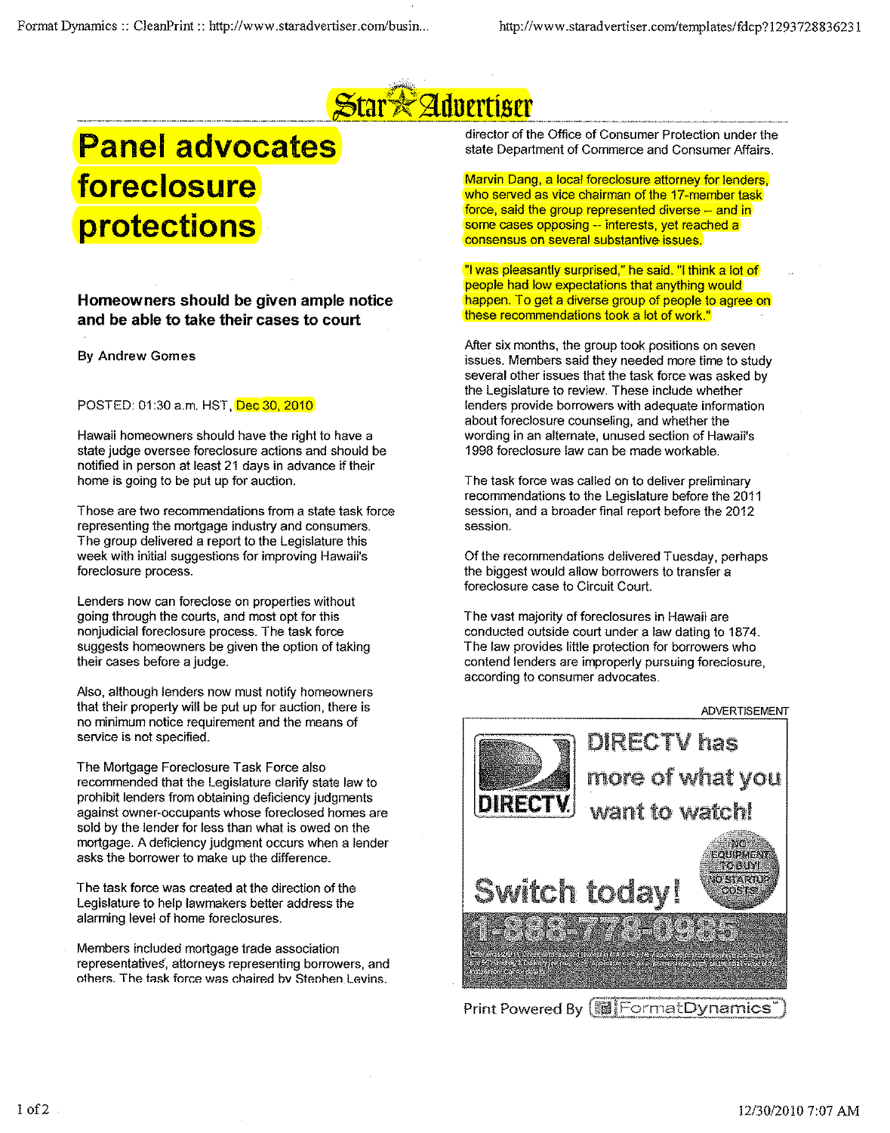

## **Panel advocates foreclosure protections**

**Homeowners should be given ample notice and be able to take their cases to court**

## By Andrew Gomes

POSTED: 01:30 a.m. HST, Dec 30, 2010

Hawaii homeowners should have the right to have a state judge oversee foreclosure actions and should be notified in person at least 21 days in advance if their home is going to be put up for auction.

Those are two recommendations from a state task force representing the mortgage industry and consumers. The group delivered a report to the Legislature this week with initial suggestions for improving Hawaii's **foreclosure process.**

Lenders now can foreclose on properties without going through the courts, and most opt for this nonjudicial foreclosure process. The task force suggests homeowners be given the option of taking their cases before a judge.

Also, although lenders now must notify homeowners that their property will be put up for auction, there is **no minimum notice requirement and the means of service is not specified.**

The Mortgage Foreclosure Task Force also recommended that the Legislature clarify state law to prohibit lenders from obtaining deficiency judgments against owner-occupants whose foreclosed homes are sold by the lender for less than what is owed on the mortgage. A deficiency judgment occurs when a lender asks the borrower to make up the difference.

The task force was created at the direction of the Legislature to help lawmakers better address the alarming level of home foreclosures.

Members included mortgage trade association representatives, attorneys representing borrowers, and  $hat$  **others.** The task force was chaired by Stephen.Levins.

director of the Office of Consumer Protection under the state Department of Commerce and Consumer Affairs.

Marvin Dang, a local foreclosure attorney for lenders, who served as vice chairman of the 17-member task force, said the group represented diverse -- and in some cases opposing -- interests, yet reached a **consensus on several substantive issues.**

"I was pleasantly surprised," he said. "I think a lot of people had low expectations that anything would happen. To get a diverse group of people to agree on these recommendations took a lot of work."

After six months, the group took positions on seven issues. Members said they needed more time to study several other issues that the task force was asked by the Legislature to review. These include whether lenders provide borrowers with adequate information about foreclosure counseling, and whether the **wording in an alternate, unused section of Hawaii's** 1998 foreclosure law can be made workable.

The task force was called on to deliver preliminary recommendations to the Legislature before the 2011 session, and a broader final report before the 2012 **session.**

Of the recommendations delivered Tuesday, perhaps the biggest would allow borrowers to transfer a foreclosure case to Circuit Court.

The vast majority of foreclosures in Hawaii are conducted outside court under a law dating to 1874. The law provides little protection for borrowers who contend lenders are improperly pursuing foreclosure, **according to consumer advocates.**



Print Powered By **FormatDynamics**